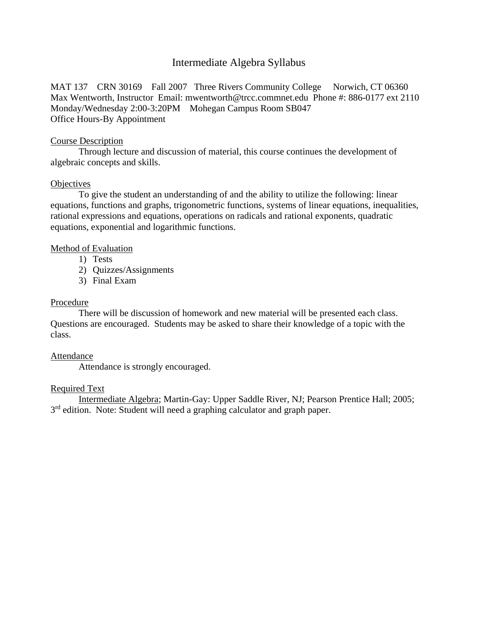# Intermediate Algebra Syllabus

MAT 137 CRN 30169 Fall 2007 Three Rivers Community College Norwich, CT 06360 Max Wentworth, Instructor Email: [mwentworth@trcc.commnet.edu](mailto:mwentworth@trcc.commnet.edu) Phone #: 886-0177 ext 2110 Monday/Wednesday 2:00-3:20PM Mohegan Campus Room SB047 Office Hours-By Appointment

### Course Description

Through lecture and discussion of material, this course continues the development of algebraic concepts and skills.

#### **Objectives**

To give the student an understanding of and the ability to utilize the following: linear equations, functions and graphs, trigonometric functions, systems of linear equations, inequalities, rational expressions and equations, operations on radicals and rational exponents, quadratic equations, exponential and logarithmic functions.

# Method of Evaluation

- 1) Tests
- 2) Quizzes/Assignments
- 3) Final Exam

# Procedure

There will be discussion of homework and new material will be presented each class. Questions are encouraged. Students may be asked to share their knowledge of a topic with the class.

# Attendance

Attendance is strongly encouraged.

# Required Text

Intermediate Algebra; Martin-Gay: Upper Saddle River, NJ; Pearson Prentice Hall; 2005; 3<sup>rd</sup> edition. Note: Student will need a graphing calculator and graph paper.